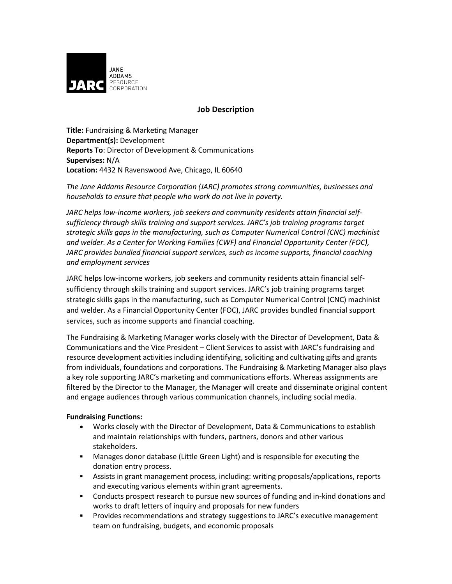

# **Job Description**

**Title:** Fundraising & Marketing Manager **Department(s):** Development **Reports To**: Director of Development & Communications **Supervises:** N/A **Location:** 4432 N Ravenswood Ave, Chicago, IL 60640

*The Jane Addams Resource Corporation (JARC) promotes strong communities, businesses and households to ensure that people who work do not live in poverty.* 

*JARC helps low-income workers, job seekers and community residents attain financial selfsufficiency through skills training and support services. JARC's job training programs target strategic skills gaps in the manufacturing, such as Computer Numerical Control (CNC) machinist and welder. As a Center for Working Families (CWF) and Financial Opportunity Center (FOC), JARC provides bundled financial support services, such as income supports, financial coaching and employment services*

JARC helps low-income workers, job seekers and community residents attain financial selfsufficiency through skills training and support services. JARC's job training programs target strategic skills gaps in the manufacturing, such as Computer Numerical Control (CNC) machinist and welder. As a Financial Opportunity Center (FOC), JARC provides bundled financial support services, such as income supports and financial coaching.

The Fundraising & Marketing Manager works closely with the Director of Development, Data & Communications and the Vice President – Client Services to assist with JARC's fundraising and resource development activities including identifying, soliciting and cultivating gifts and grants from individuals, foundations and corporations. The Fundraising & Marketing Manager also plays a key role supporting JARC's marketing and communications efforts. Whereas assignments are filtered by the Director to the Manager, the Manager will create and disseminate original content and engage audiences through various communication channels, including social media.

## **Fundraising Functions:**

- Works closely with the Director of Development, Data & Communications to establish and maintain relationships with funders, partners, donors and other various stakeholders.
- Manages donor database (Little Green Light) and is responsible for executing the donation entry process.
- Assists in grant management process, including: writing proposals/applications, reports and executing various elements within grant agreements.
- Conducts prospect research to pursue new sources of funding and in-kind donations and works to draft letters of inquiry and proposals for new funders
- **Provides recommendations and strategy suggestions to JARC's executive management** team on fundraising, budgets, and economic proposals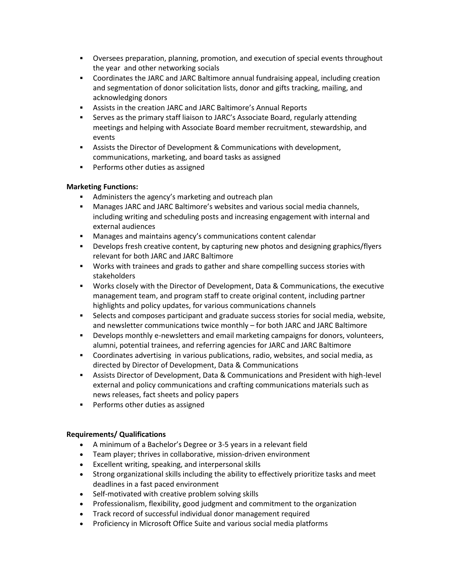- Oversees preparation, planning, promotion, and execution of special events throughout the year and other networking socials
- Coordinates the JARC and JARC Baltimore annual fundraising appeal, including creation and segmentation of donor solicitation lists, donor and gifts tracking, mailing, and acknowledging donors
- Assists in the creation JARC and JARC Baltimore's Annual Reports
- Serves as the primary staff liaison to JARC's Associate Board, regularly attending meetings and helping with Associate Board member recruitment, stewardship, and events
- Assists the Director of Development & Communications with development, communications, marketing, and board tasks as assigned
- **Performs other duties as assigned**

## **Marketing Functions:**

- Administers the agency's marketing and outreach plan
- Manages JARC and JARC Baltimore's websites and various social media channels, including writing and scheduling posts and increasing engagement with internal and external audiences
- Manages and maintains agency's communications content calendar
- Develops fresh creative content, by capturing new photos and designing graphics/flyers relevant for both JARC and JARC Baltimore
- Works with trainees and grads to gather and share compelling success stories with stakeholders
- Works closely with the Director of Development, Data & Communications, the executive management team, and program staff to create original content, including partner highlights and policy updates, for various communications channels
- Selects and composes participant and graduate success stories for social media, website, and newsletter communications twice monthly – for both JARC and JARC Baltimore
- Develops monthly e-newsletters and email marketing campaigns for donors, volunteers, alumni, potential trainees, and referring agencies for JARC and JARC Baltimore
- Coordinates advertising in various publications, radio, websites, and social media, as directed by Director of Development, Data & Communications
- Assists Director of Development, Data & Communications and President with high-level external and policy communications and crafting communications materials such as news releases, fact sheets and policy papers
- **Performs other duties as assigned**

## **Requirements/ Qualifications**

- A minimum of a Bachelor's Degree or 3-5 years in a relevant field
- Team player; thrives in collaborative, mission-driven environment
- Excellent writing, speaking, and interpersonal skills
- Strong organizational skills including the ability to effectively prioritize tasks and meet deadlines in a fast paced environment
- Self-motivated with creative problem solving skills
- Professionalism, flexibility, good judgment and commitment to the organization
- Track record of successful individual donor management required
- Proficiency in Microsoft Office Suite and various social media platforms